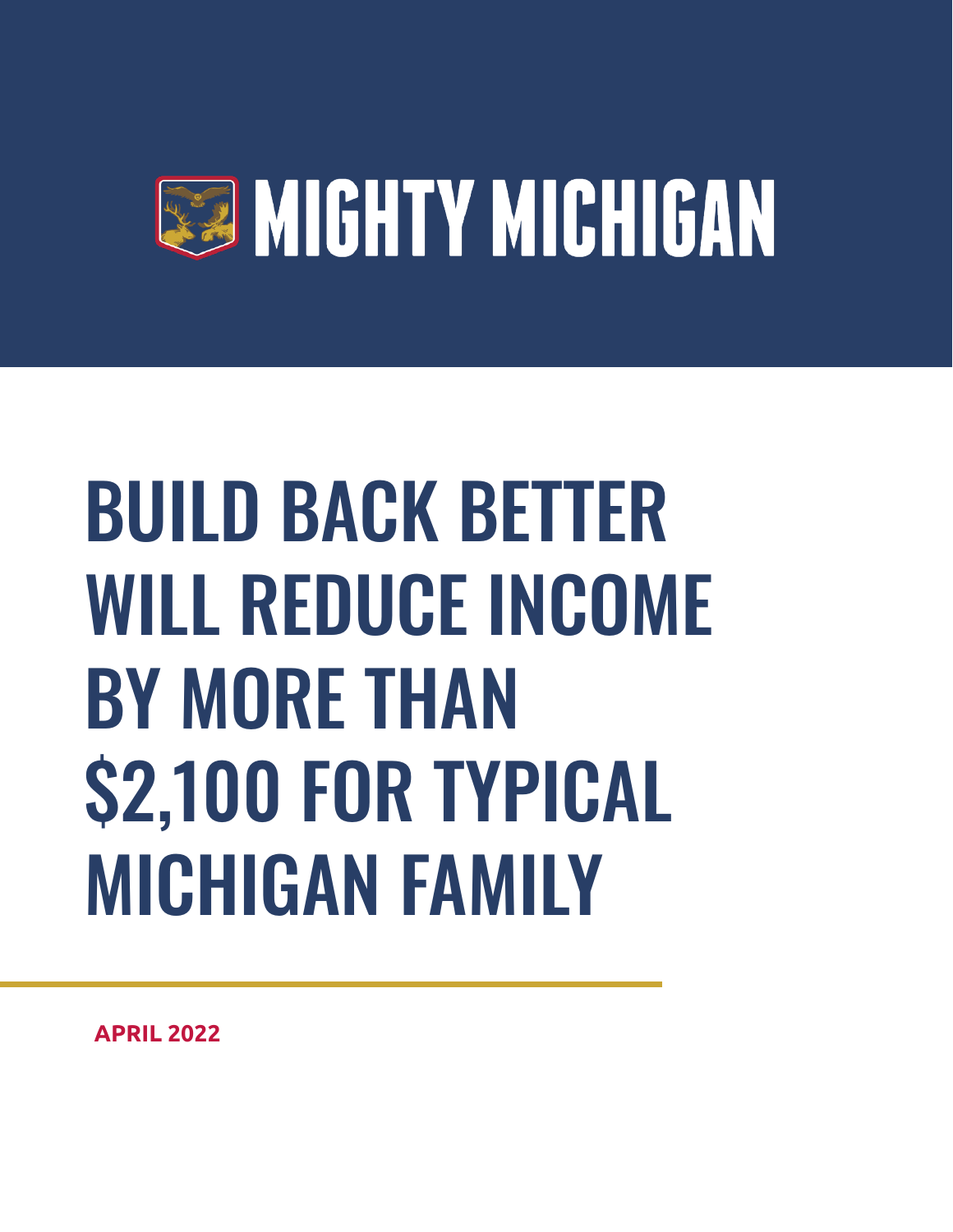

# BUILD BACK BETTER WILL REDUCE INCOME BY MORE THAN \$2,100 FOR TYPICAL MICHIGAN FAMILY

**APRIL 2022**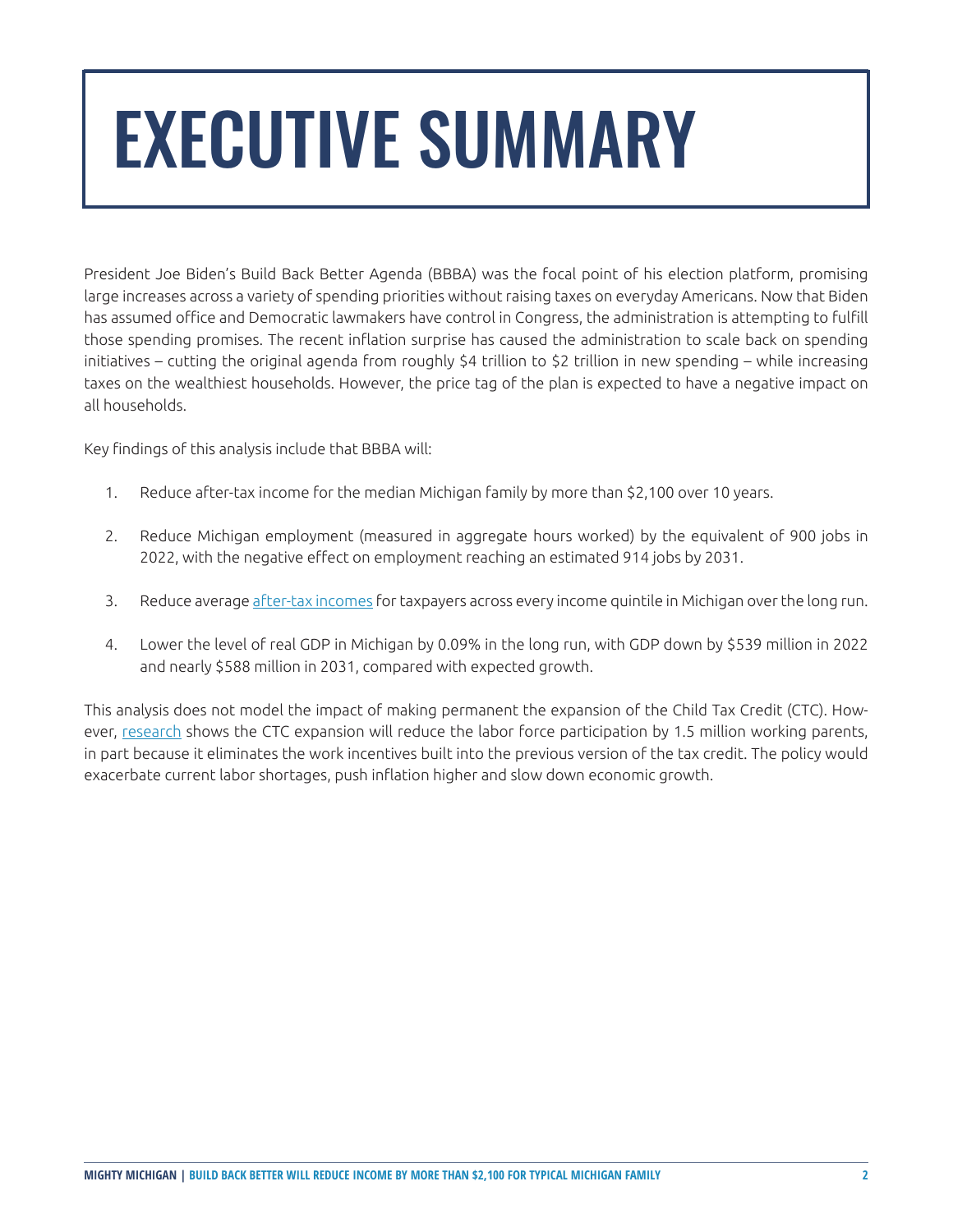## EXECUTIVE SUMMARY

President Joe Biden's Build Back Better Agenda (BBBA) was the focal point of his election platform, promising large increases across a variety of spending priorities without raising taxes on everyday Americans. Now that Biden has assumed office and Democratic lawmakers have control in Congress, the administration is attempting to fulfill those spending promises. The recent inflation surprise has caused the administration to scale back on spending initiatives – cutting the original agenda from roughly \$4 trillion to \$2 trillion in new spending – while increasing taxes on the wealthiest households. However, the price tag of the plan is expected to have a negative impact on all households.

Key findings of this analysis include that BBBA will:

- 1. Reduce after-tax income for the median Michigan family by more than \$2,100 over 10 years.
- 2. Reduce Michigan employment (measured in aggregate hours worked) by the equivalent of 900 jobs in 2022, with the negative effect on employment reaching an estimated 914 jobs by 2031.
- 3. Reduce average [after-tax incomes](https://taxfoundation.org/tax-basics/after-tax-income/) for taxpayers across every income quintile in Michigan over the long run.
- 4. Lower the level of real GDP in Michigan by 0.09% in the long run, with GDP down by \$539 million in 2022 and nearly \$588 million in 2031, compared with expected growth.

This analysis does not model the impact of making permanent the expansion of the Child Tax Credit (CTC). However, [research](https://bfi.uchicago.edu/wp-content/uploads/2021/10/BFI_WP_2021-115-1.pdf) shows the CTC expansion will reduce the labor force participation by 1.5 million working parents, in part because it eliminates the work incentives built into the previous version of the tax credit. The policy would exacerbate current labor shortages, push inflation higher and slow down economic growth.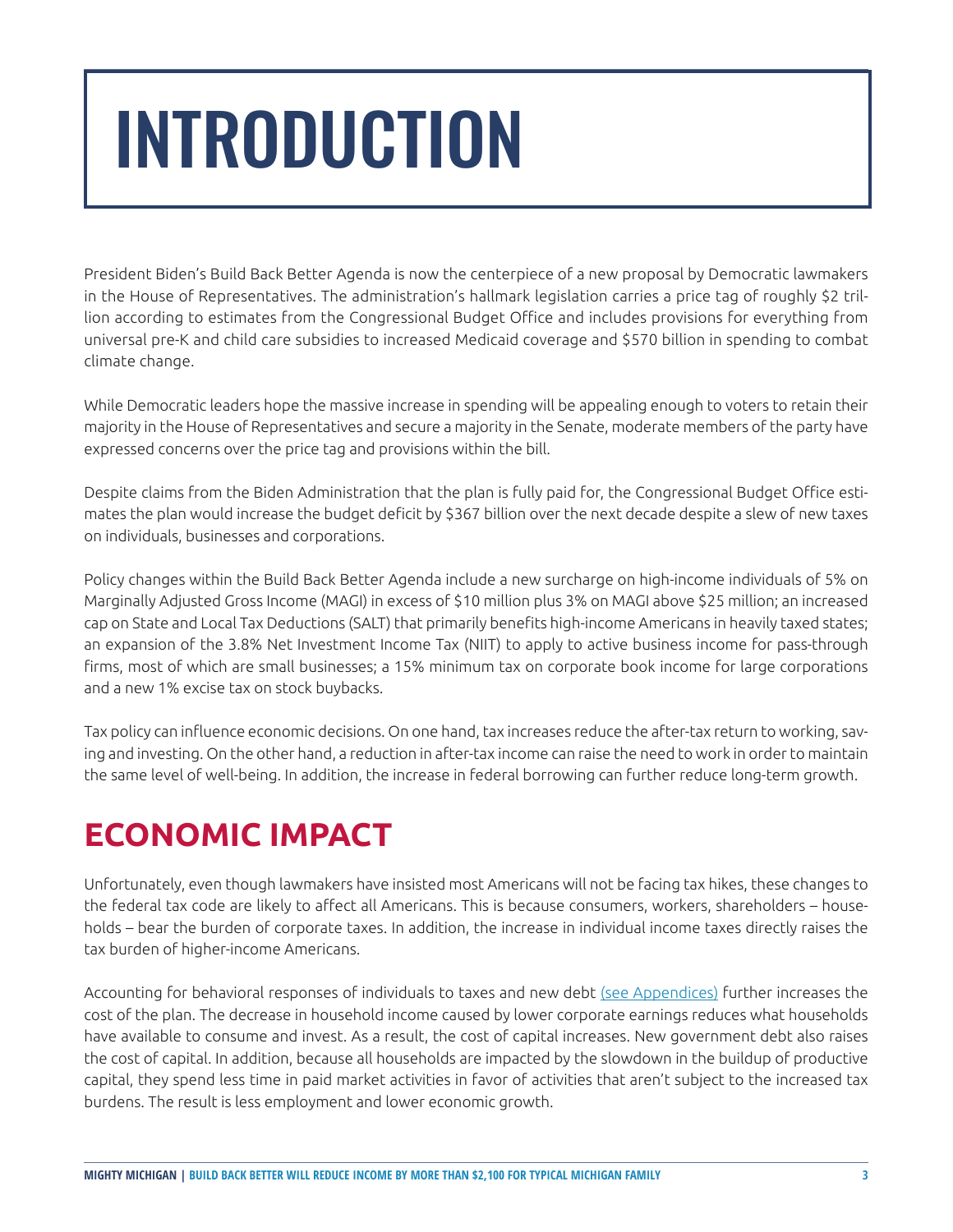## INTRODUCTION

President Biden's Build Back Better Agenda is now the centerpiece of a new proposal by Democratic lawmakers in the House of Representatives. The administration's hallmark legislation carries a price tag of roughly \$2 trillion according to estimates from the Congressional Budget Office and includes provisions for everything from universal pre-K and child care subsidies to increased Medicaid coverage and \$570 billion in spending to combat climate change.

While Democratic leaders hope the massive increase in spending will be appealing enough to voters to retain their majority in the House of Representatives and secure a majority in the Senate, moderate members of the party have expressed concerns over the price tag and provisions within the bill.

Despite claims from the Biden Administration that the plan is fully paid for, the Congressional Budget Office estimates the plan would increase the budget deficit by \$367 billion over the next decade despite a slew of new taxes on individuals, businesses and corporations.

Policy changes within the Build Back Better Agenda include a new surcharge on high-income individuals of 5% on Marginally Adjusted Gross Income (MAGI) in excess of \$10 million plus 3% on MAGI above \$25 million; an increased cap on State and Local Tax Deductions (SALT) that primarily benefits high-income Americans in heavily taxed states; an expansion of the 3.8% Net Investment Income Tax (NIIT) to apply to active business income for pass-through firms, most of which are small businesses; a 15% minimum tax on corporate book income for large corporations and a new 1% excise tax on stock buybacks.

Tax policy can influence economic decisions. On one hand, tax increases reduce the after-tax return to working, saving and investing. On the other hand, a reduction in after-tax income can raise the need to work in order to maintain the same level of well-being. In addition, the increase in federal borrowing can further reduce long-term growth.

### **ECONOMIC IMPACT**

Unfortunately, even though lawmakers have insisted most Americans will not be facing tax hikes, these changes to the federal tax code are likely to affect all Americans. This is because consumers, workers, shareholders – households – bear the burden of corporate taxes. In addition, the increase in individual income taxes directly raises the tax burden of higher-income Americans.

Accounting for behavioral responses of individuals to taxes and new debt [\(see Appendices\)](https://files.mightymichigan.com/wp-content/uploads/2022/04/ACP_MM_2022_01_Report_appendix.pdf) further increases the cost of the plan. The decrease in household income caused by lower corporate earnings reduces what households have available to consume and invest. As a result, the cost of capital increases. New government debt also raises the cost of capital. In addition, because all households are impacted by the slowdown in the buildup of productive capital, they spend less time in paid market activities in favor of activities that aren't subject to the increased tax burdens. The result is less employment and lower economic growth.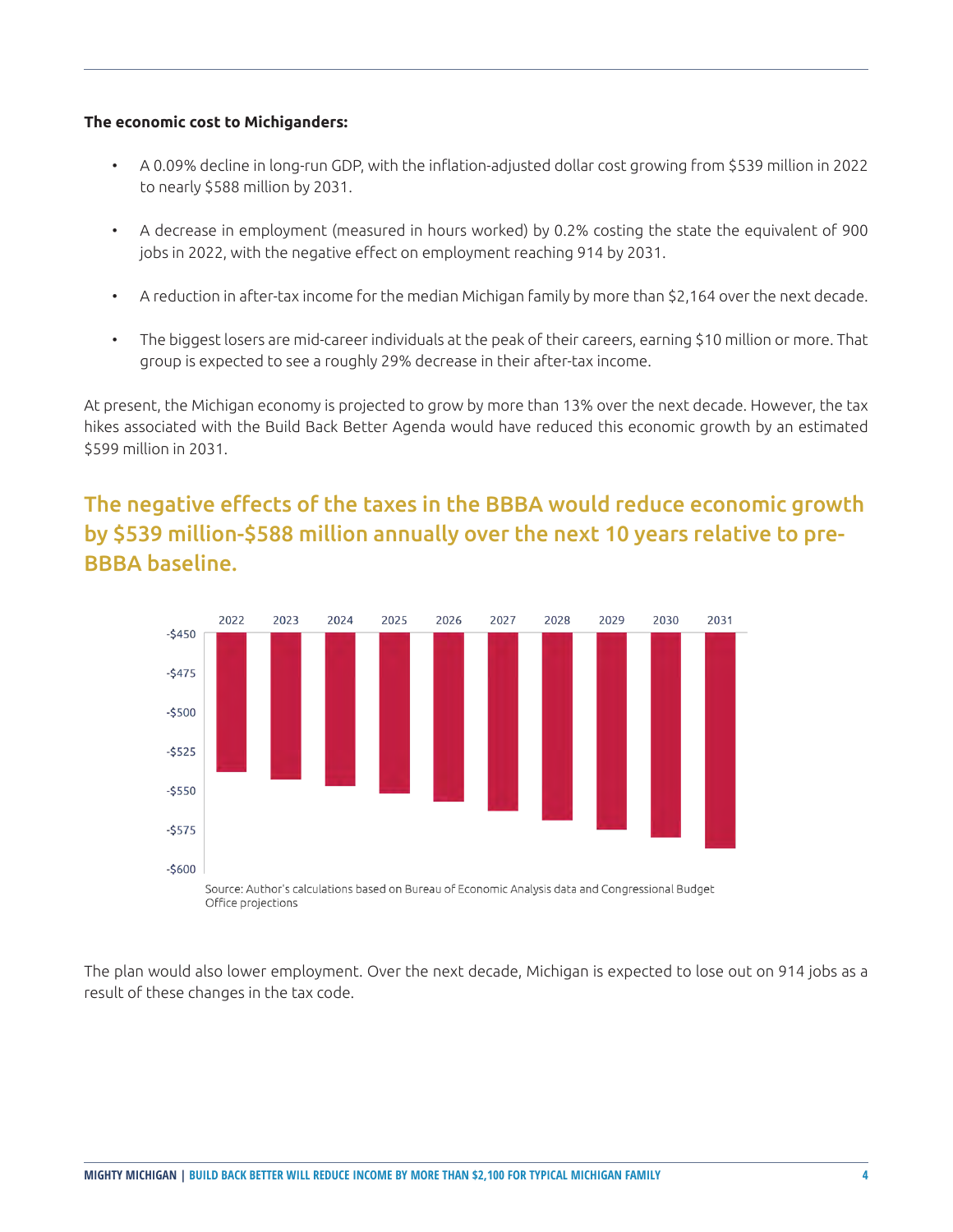#### **The economic cost to Michiganders:**

- A 0.09% decline in long-run GDP, with the inflation-adjusted dollar cost growing from \$539 million in 2022 to nearly \$588 million by 2031.
- A decrease in employment (measured in hours worked) by 0.2% costing the state the equivalent of 900 jobs in 2022, with the negative effect on employment reaching 914 by 2031.
- A reduction in after-tax income for the median Michigan family by more than \$2,164 over the next decade.
- The biggest losers are mid-career individuals at the peak of their careers, earning \$10 million or more. That group is expected to see a roughly 29% decrease in their after-tax income.

At present, the Michigan economy is projected to grow by more than 13% over the next decade. However, the tax hikes associated with the Build Back Better Agenda would have reduced this economic growth by an estimated \$599 million in 2031.

#### The negative effects of the taxes in the BBBA would reduce economic growth by \$539 million-\$588 million annually over the next 10 years relative to pre-BBBA baseline.



The plan would also lower employment. Over the next decade, Michigan is expected to lose out on 914 jobs as a result of these changes in the tax code.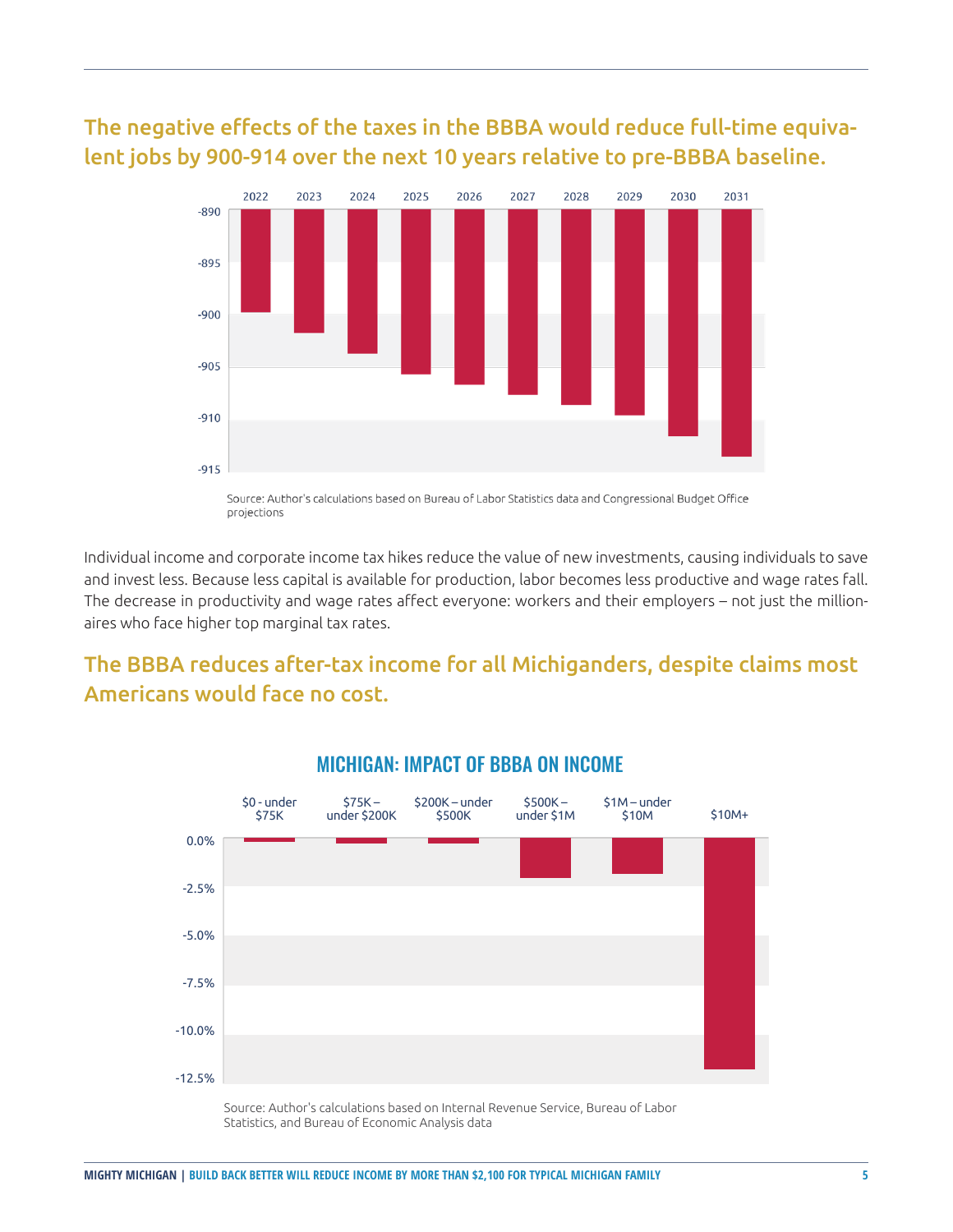#### The negative effects of the taxes in the BBBA would reduce full-time equivalent jobs by 900-914 over the next 10 years relative to pre-BBBA baseline.



Source: Author's calculations based on Bureau of Labor Statistics data and Congressional Budget Office projections

Individual income and corporate income tax hikes reduce the value of new investments, causing individuals to save and invest less. Because less capital is available for production, labor becomes less productive and wage rates fall. The decrease in productivity and wage rates affect everyone: workers and their employers – not just the millionaires who face higher top marginal tax rates.

#### The BBBA reduces after-tax income for all Michiganders, despite claims most Americans would face no cost.



#### MICHIGAN: IMPACT OF BBBA ON INCOME

Source: Author's calculations based on Internal Revenue Service, Bureau of Labor Statistics, and Bureau of Economic Analysis data